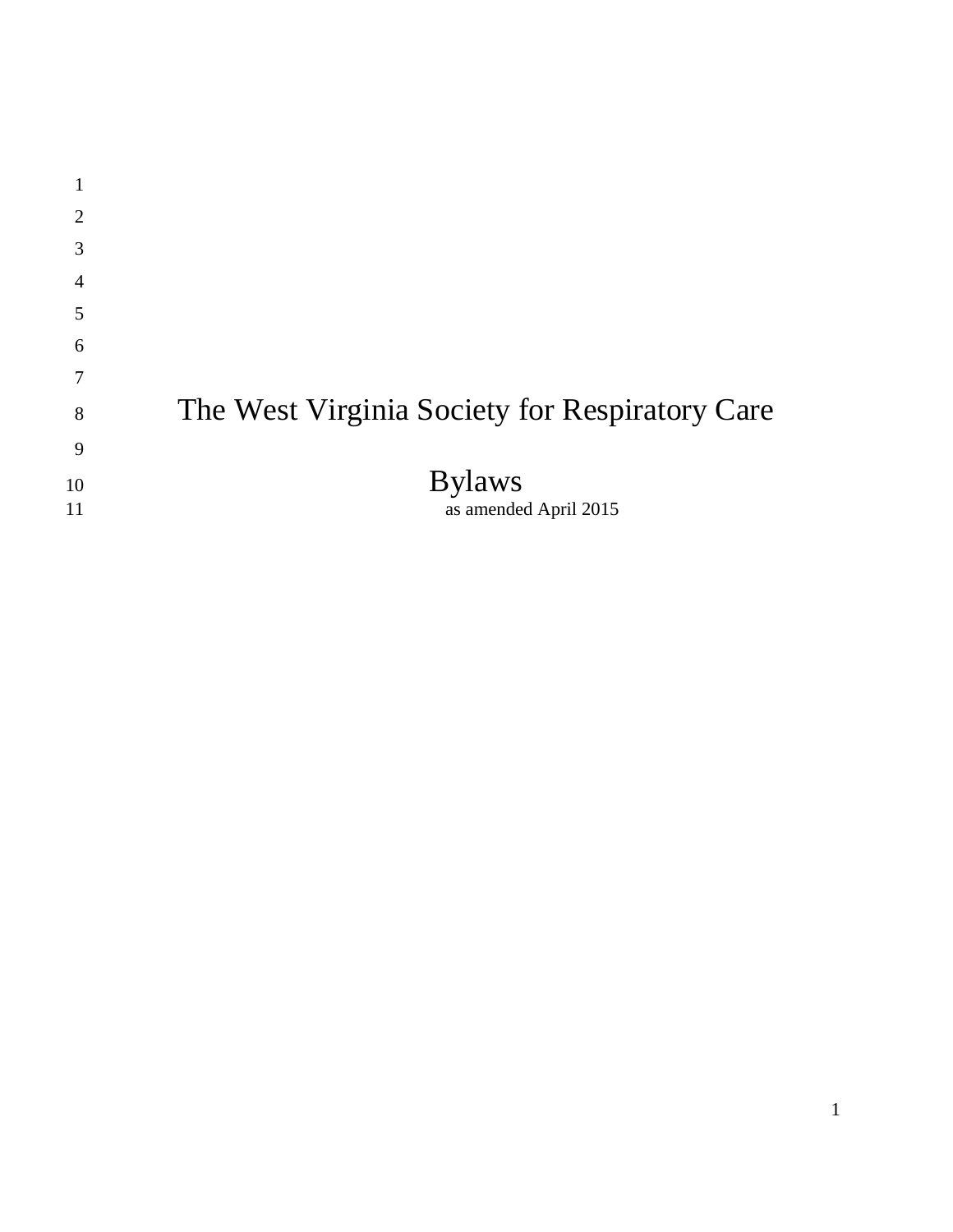| 1              |                                                |
|----------------|------------------------------------------------|
| $\overline{2}$ |                                                |
| 3              |                                                |
| 4              |                                                |
| 5              |                                                |
| 6              |                                                |
| 7              |                                                |
| 8              | The West Virginia Society for Respiratory Care |
| 9              |                                                |
| 10             | <b>Bylaws</b>                                  |
| 11             | as amended April 2015                          |
|                |                                                |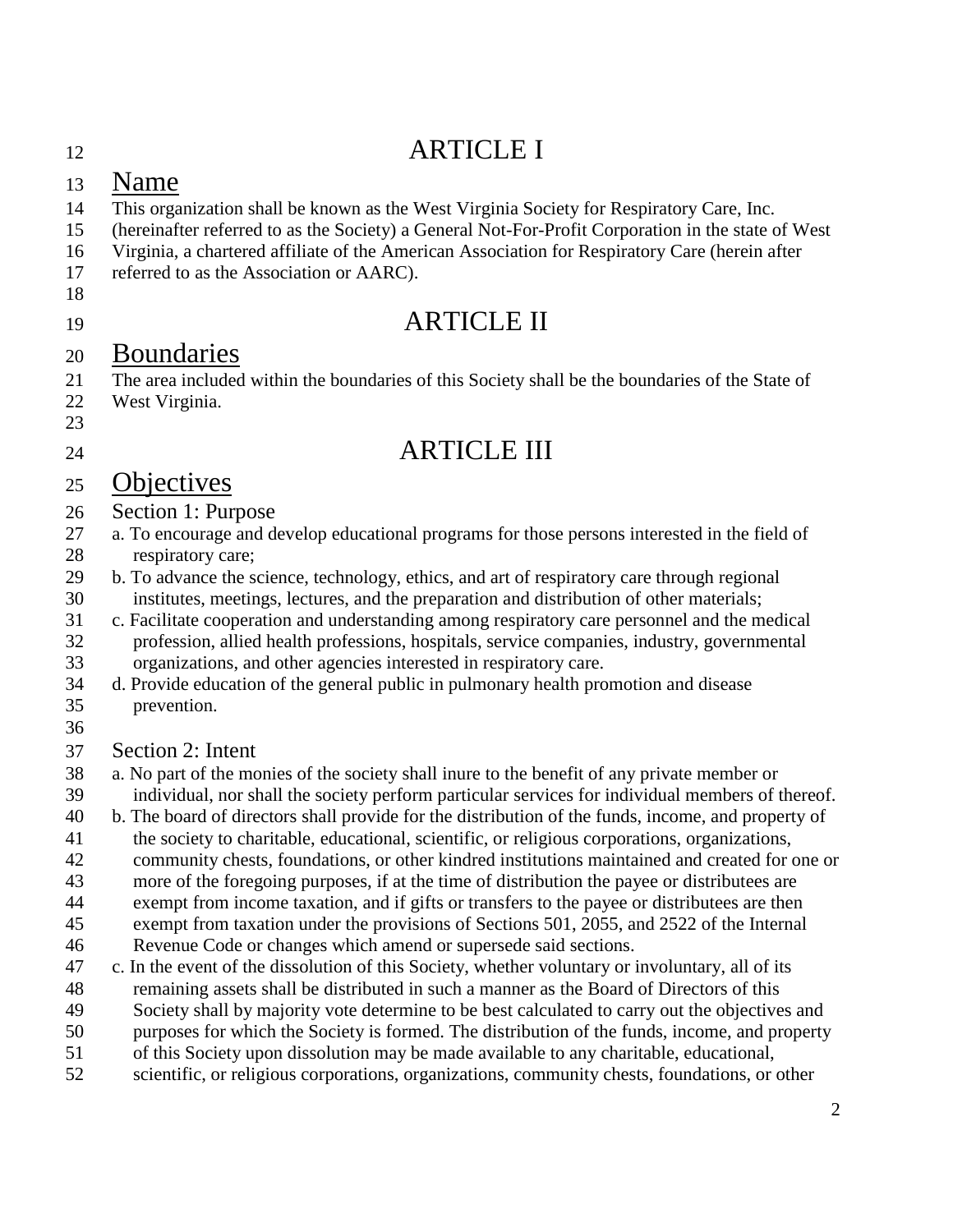## ARTICLE I

### Name

- This organization shall be known as the West Virginia Society for Respiratory Care, Inc.
- (hereinafter referred to as the Society) a General Not-For-Profit Corporation in the state of West
- Virginia, a chartered affiliate of the American Association for Respiratory Care (herein after
- referred to as the Association or AARC).
- 
- 

## ARTICLE II

## Boundaries

- The area included within the boundaries of this Society shall be the boundaries of the State of
- West Virginia.

# 

## ARTICLE III

## Objectives

### Section 1: Purpose

- a. To encourage and develop educational programs for those persons interested in the field of respiratory care;
- b. To advance the science, technology, ethics, and art of respiratory care through regional institutes, meetings, lectures, and the preparation and distribution of other materials;
- c. Facilitate cooperation and understanding among respiratory care personnel and the medical profession, allied health professions, hospitals, service companies, industry, governmental organizations, and other agencies interested in respiratory care.
- d. Provide education of the general public in pulmonary health promotion and disease prevention.
- 
- Section 2: Intent
- a. No part of the monies of the society shall inure to the benefit of any private member or individual, nor shall the society perform particular services for individual members of thereof.
- b. The board of directors shall provide for the distribution of the funds, income, and property of
- the society to charitable, educational, scientific, or religious corporations, organizations,
- community chests, foundations, or other kindred institutions maintained and created for one or
- more of the foregoing purposes, if at the time of distribution the payee or distributees are
- exempt from income taxation, and if gifts or transfers to the payee or distributees are then exempt from taxation under the provisions of Sections 501, 2055, and 2522 of the Internal
- Revenue Code or changes which amend or supersede said sections.
- c. In the event of the dissolution of this Society, whether voluntary or involuntary, all of its
- remaining assets shall be distributed in such a manner as the Board of Directors of this
- Society shall by majority vote determine to be best calculated to carry out the objectives and
- purposes for which the Society is formed. The distribution of the funds, income, and property
- of this Society upon dissolution may be made available to any charitable, educational,
- scientific, or religious corporations, organizations, community chests, foundations, or other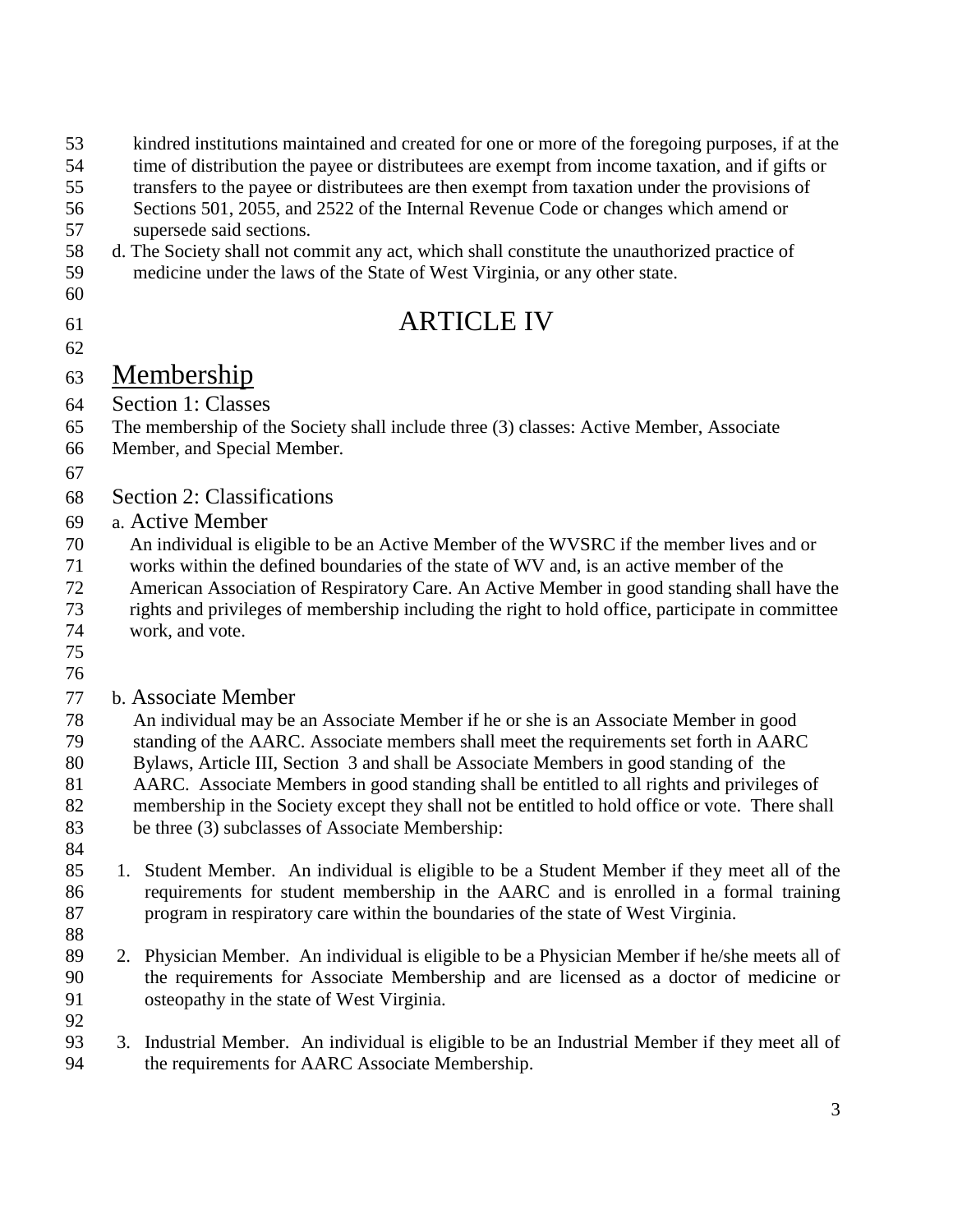| 53<br>54<br>55<br>56<br>57<br>58<br>59<br>60 | kindred institutions maintained and created for one or more of the foregoing purposes, if at the<br>time of distribution the payee or distributees are exempt from income taxation, and if gifts or<br>transfers to the payee or distributees are then exempt from taxation under the provisions of<br>Sections 501, 2055, and 2522 of the Internal Revenue Code or changes which amend or<br>supersede said sections.<br>d. The Society shall not commit any act, which shall constitute the unauthorized practice of<br>medicine under the laws of the State of West Virginia, or any other state. |
|----------------------------------------------|------------------------------------------------------------------------------------------------------------------------------------------------------------------------------------------------------------------------------------------------------------------------------------------------------------------------------------------------------------------------------------------------------------------------------------------------------------------------------------------------------------------------------------------------------------------------------------------------------|
| 61                                           | <b>ARTICLE IV</b>                                                                                                                                                                                                                                                                                                                                                                                                                                                                                                                                                                                    |
| 62                                           |                                                                                                                                                                                                                                                                                                                                                                                                                                                                                                                                                                                                      |
| 63                                           | <u>Membership</u>                                                                                                                                                                                                                                                                                                                                                                                                                                                                                                                                                                                    |
| 64                                           | Section 1: Classes                                                                                                                                                                                                                                                                                                                                                                                                                                                                                                                                                                                   |
| 65<br>66                                     | The membership of the Society shall include three (3) classes: Active Member, Associate<br>Member, and Special Member.                                                                                                                                                                                                                                                                                                                                                                                                                                                                               |
| 67                                           |                                                                                                                                                                                                                                                                                                                                                                                                                                                                                                                                                                                                      |
| 68                                           | <b>Section 2: Classifications</b>                                                                                                                                                                                                                                                                                                                                                                                                                                                                                                                                                                    |
| 69                                           | a. Active Member                                                                                                                                                                                                                                                                                                                                                                                                                                                                                                                                                                                     |
| 70                                           | An individual is eligible to be an Active Member of the WVSRC if the member lives and or                                                                                                                                                                                                                                                                                                                                                                                                                                                                                                             |
| 71                                           | works within the defined boundaries of the state of WV and, is an active member of the                                                                                                                                                                                                                                                                                                                                                                                                                                                                                                               |
| 72<br>73                                     | American Association of Respiratory Care. An Active Member in good standing shall have the<br>rights and privileges of membership including the right to hold office, participate in committee                                                                                                                                                                                                                                                                                                                                                                                                       |
| 74                                           | work, and vote.                                                                                                                                                                                                                                                                                                                                                                                                                                                                                                                                                                                      |
| 75                                           |                                                                                                                                                                                                                                                                                                                                                                                                                                                                                                                                                                                                      |
| 76                                           |                                                                                                                                                                                                                                                                                                                                                                                                                                                                                                                                                                                                      |
| 77                                           | <b>b.</b> Associate Member                                                                                                                                                                                                                                                                                                                                                                                                                                                                                                                                                                           |
| 78                                           | An individual may be an Associate Member if he or she is an Associate Member in good                                                                                                                                                                                                                                                                                                                                                                                                                                                                                                                 |
| 79<br>80                                     | standing of the AARC. Associate members shall meet the requirements set forth in AARC<br>Bylaws, Article III, Section 3 and shall be Associate Members in good standing of the                                                                                                                                                                                                                                                                                                                                                                                                                       |
| 81                                           | AARC. Associate Members in good standing shall be entitled to all rights and privileges of                                                                                                                                                                                                                                                                                                                                                                                                                                                                                                           |
| 82                                           | membership in the Society except they shall not be entitled to hold office or vote. There shall                                                                                                                                                                                                                                                                                                                                                                                                                                                                                                      |
| 83                                           | be three (3) subclasses of Associate Membership:                                                                                                                                                                                                                                                                                                                                                                                                                                                                                                                                                     |
| 84                                           |                                                                                                                                                                                                                                                                                                                                                                                                                                                                                                                                                                                                      |
| 85<br>86                                     | 1. Student Member. An individual is eligible to be a Student Member if they meet all of the<br>requirements for student membership in the AARC and is enrolled in a formal training                                                                                                                                                                                                                                                                                                                                                                                                                  |
| 87                                           | program in respiratory care within the boundaries of the state of West Virginia.                                                                                                                                                                                                                                                                                                                                                                                                                                                                                                                     |
| 88                                           |                                                                                                                                                                                                                                                                                                                                                                                                                                                                                                                                                                                                      |
| 89                                           | 2. Physician Member. An individual is eligible to be a Physician Member if he/she meets all of                                                                                                                                                                                                                                                                                                                                                                                                                                                                                                       |
| 90                                           | the requirements for Associate Membership and are licensed as a doctor of medicine or                                                                                                                                                                                                                                                                                                                                                                                                                                                                                                                |
| 91                                           | osteopathy in the state of West Virginia.                                                                                                                                                                                                                                                                                                                                                                                                                                                                                                                                                            |
| 92<br>93                                     | 3. Industrial Member. An individual is eligible to be an Industrial Member if they meet all of                                                                                                                                                                                                                                                                                                                                                                                                                                                                                                       |
| 94                                           | the requirements for AARC Associate Membership.                                                                                                                                                                                                                                                                                                                                                                                                                                                                                                                                                      |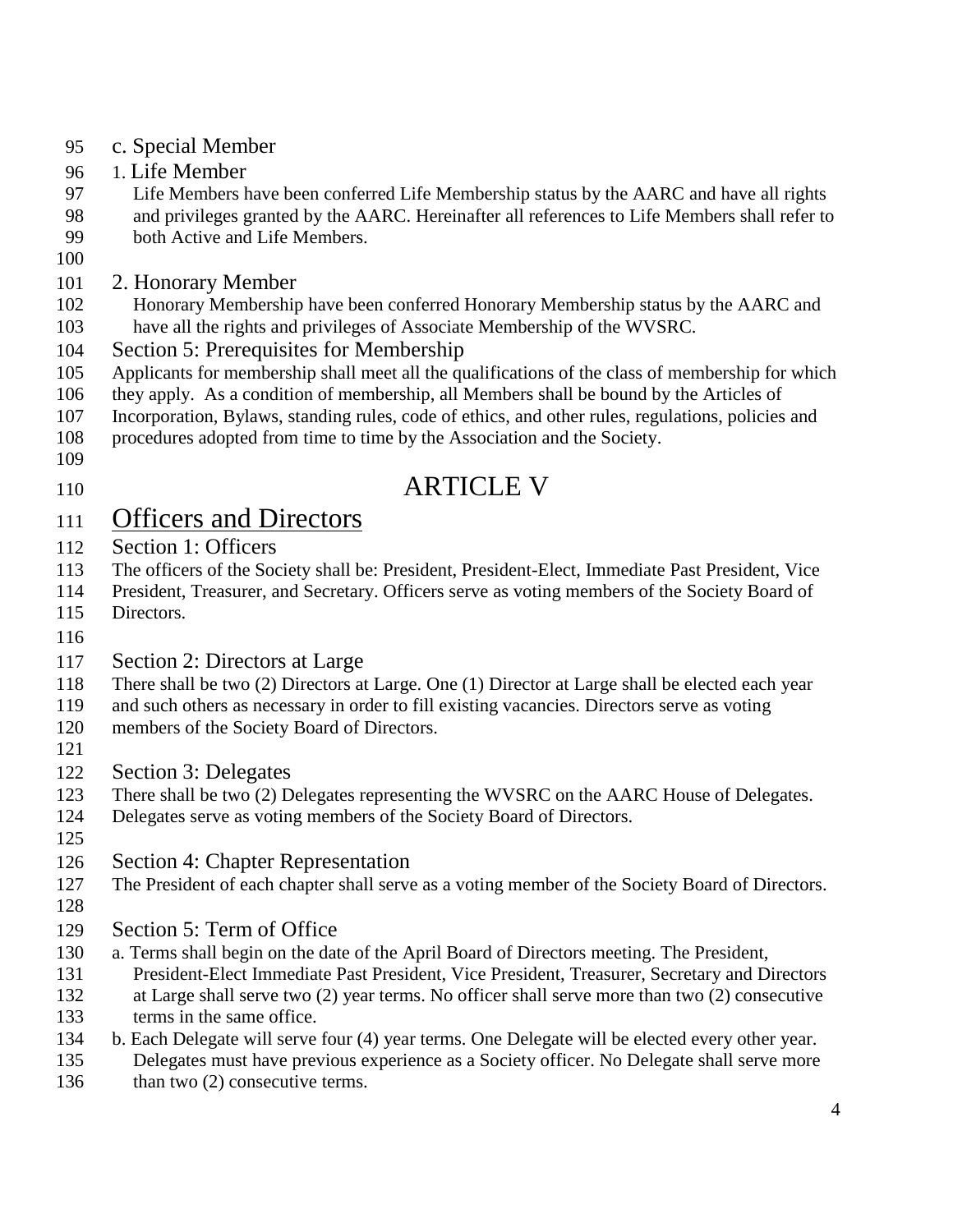- c. Special Member
- 1. Life Member
- Life Members have been conferred Life Membership status by the AARC and have all rights
- and privileges granted by the AARC. Hereinafter all references to Life Members shall refer to both Active and Life Members.
- 
- 2. Honorary Member
- Honorary Membership have been conferred Honorary Membership status by the AARC and have all the rights and privileges of Associate Membership of the WVSRC.
- Section 5: Prerequisites for Membership
- Applicants for membership shall meet all the qualifications of the class of membership for which
- they apply. As a condition of membership, all Members shall be bound by the Articles of
- Incorporation, Bylaws, standing rules, code of ethics, and other rules, regulations, policies and
- procedures adopted from time to time by the Association and the Society.
- 
- **ARTICLE V**

## Officers and Directors

- Section 1: Officers
- The officers of the Society shall be: President, President-Elect, Immediate Past President, Vice
- President, Treasurer, and Secretary. Officers serve as voting members of the Society Board of
- Directors.
- 
- Section 2: Directors at Large
- There shall be two (2) Directors at Large. One (1) Director at Large shall be elected each year
- and such others as necessary in order to fill existing vacancies. Directors serve as voting
- members of the Society Board of Directors.
- 
- Section 3: Delegates
- There shall be two (2) Delegates representing the WVSRC on the AARC House of Delegates.
- Delegates serve as voting members of the Society Board of Directors.
- 
- Section 4: Chapter Representation
- The President of each chapter shall serve as a voting member of the Society Board of Directors.
- 
- Section 5: Term of Office
- a. Terms shall begin on the date of the April Board of Directors meeting. The President,
- President-Elect Immediate Past President, Vice President, Treasurer, Secretary and Directors
- at Large shall serve two (2) year terms. No officer shall serve more than two (2) consecutive
- terms in the same office.
- b. Each Delegate will serve four (4) year terms. One Delegate will be elected every other year.
- Delegates must have previous experience as a Society officer. No Delegate shall serve more 136 than two (2) consecutive terms.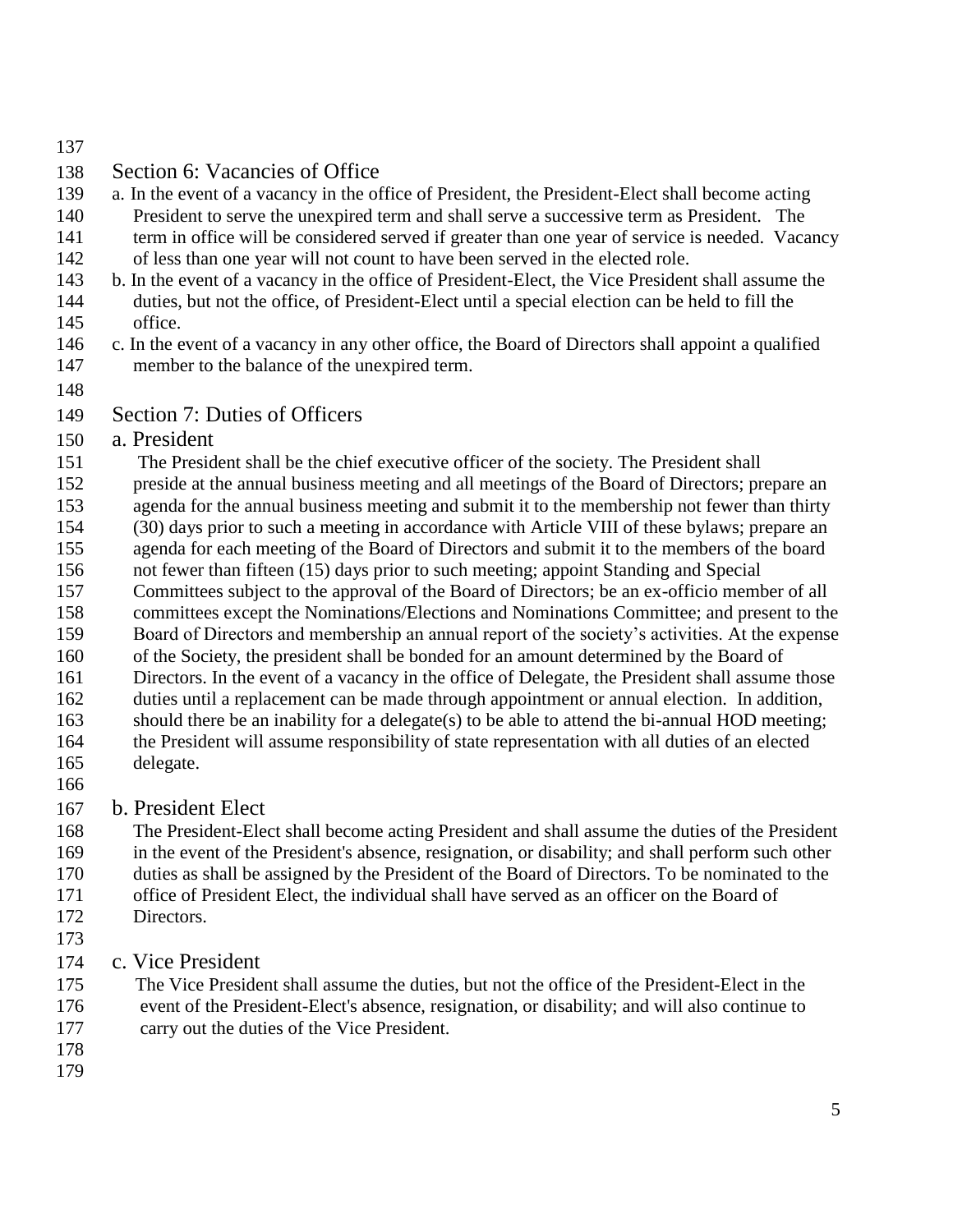### Section 6: Vacancies of Office

- a. In the event of a vacancy in the office of President, the President-Elect shall become acting
- President to serve the unexpired term and shall serve a successive term as President. The 141 term in office will be considered served if greater than one year of service is needed. Vacancy
- of less than one year will not count to have been served in the elected role.
- b. In the event of a vacancy in the office of President-Elect, the Vice President shall assume the
- duties, but not the office, of President-Elect until a special election can be held to fill the office.
- c. In the event of a vacancy in any other office, the Board of Directors shall appoint a qualified member to the balance of the unexpired term.
- 

Section 7: Duties of Officers

### a. President

The President shall be the chief executive officer of the society. The President shall

preside at the annual business meeting and all meetings of the Board of Directors; prepare an

- agenda for the annual business meeting and submit it to the membership not fewer than thirty
- (30) days prior to such a meeting in accordance with Article VIII of these bylaws; prepare an
- agenda for each meeting of the Board of Directors and submit it to the members of the board not fewer than fifteen (15) days prior to such meeting; appoint Standing and Special
- Committees subject to the approval of the Board of Directors; be an ex-officio member of all
- committees except the Nominations/Elections and Nominations Committee; and present to the
- Board of Directors and membership an annual report of the society's activities. At the expense
- of the Society, the president shall be bonded for an amount determined by the Board of
- Directors. In the event of a vacancy in the office of Delegate, the President shall assume those
- duties until a replacement can be made through appointment or annual election. In addition,
- should there be an inability for a delegate(s) to be able to attend the bi-annual HOD meeting;
- the President will assume responsibility of state representation with all duties of an elected delegate.
- 

### b. President Elect

 The President-Elect shall become acting President and shall assume the duties of the President in the event of the President's absence, resignation, or disability; and shall perform such other duties as shall be assigned by the President of the Board of Directors. To be nominated to the office of President Elect, the individual shall have served as an officer on the Board of

- Directors.
- 
- c. Vice President

175 The Vice President shall assume the duties, but not the office of the President-Elect in the 176 event of the President-Elect's absence, resignation, or disability; and will also continue to 177 carry out the duties of the Vice President.

- 
-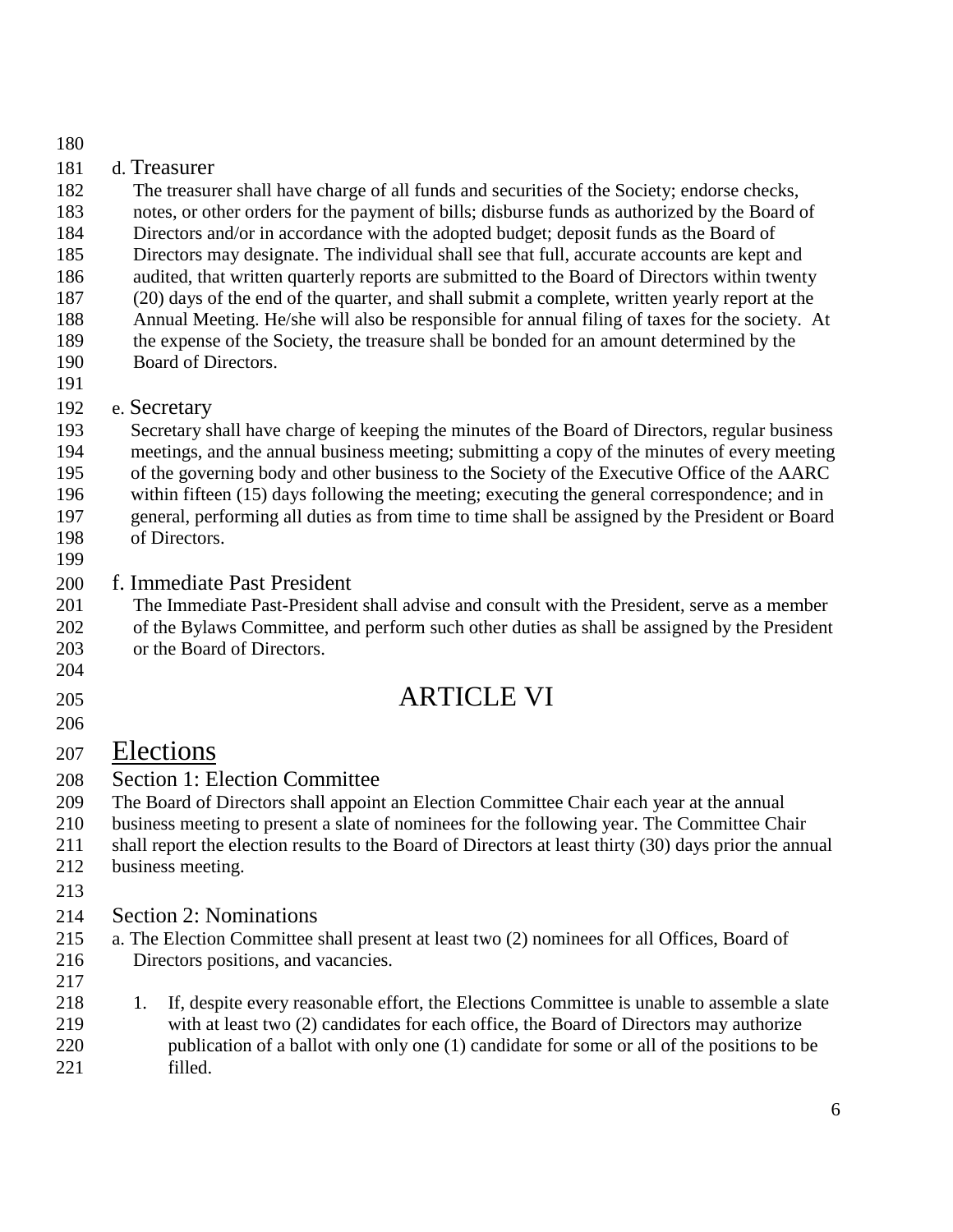| 180                                                                |                                                                                                                                                                                                                                                                                                                                                                                                                                                                                                                                                                                                                                                                                                                                                                                                                              |
|--------------------------------------------------------------------|------------------------------------------------------------------------------------------------------------------------------------------------------------------------------------------------------------------------------------------------------------------------------------------------------------------------------------------------------------------------------------------------------------------------------------------------------------------------------------------------------------------------------------------------------------------------------------------------------------------------------------------------------------------------------------------------------------------------------------------------------------------------------------------------------------------------------|
| 181<br>182<br>183<br>184<br>185<br>186<br>187<br>188<br>189<br>190 | d. Treasurer<br>The treasurer shall have charge of all funds and securities of the Society; endorse checks,<br>notes, or other orders for the payment of bills; disburse funds as authorized by the Board of<br>Directors and/or in accordance with the adopted budget; deposit funds as the Board of<br>Directors may designate. The individual shall see that full, accurate accounts are kept and<br>audited, that written quarterly reports are submitted to the Board of Directors within twenty<br>(20) days of the end of the quarter, and shall submit a complete, written yearly report at the<br>Annual Meeting. He/she will also be responsible for annual filing of taxes for the society. At<br>the expense of the Society, the treasure shall be bonded for an amount determined by the<br>Board of Directors. |
| 191<br>192<br>193<br>194<br>195<br>196<br>197<br>198<br>199        | e. Secretary<br>Secretary shall have charge of keeping the minutes of the Board of Directors, regular business<br>meetings, and the annual business meeting; submitting a copy of the minutes of every meeting<br>of the governing body and other business to the Society of the Executive Office of the AARC<br>within fifteen (15) days following the meeting; executing the general correspondence; and in<br>general, performing all duties as from time to time shall be assigned by the President or Board<br>of Directors.                                                                                                                                                                                                                                                                                            |
| 200<br>201<br>202<br>203<br>204                                    | f. Immediate Past President<br>The Immediate Past-President shall advise and consult with the President, serve as a member<br>of the Bylaws Committee, and perform such other duties as shall be assigned by the President<br>or the Board of Directors.                                                                                                                                                                                                                                                                                                                                                                                                                                                                                                                                                                     |
| 205<br>206                                                         | <b>ARTICLE VI</b>                                                                                                                                                                                                                                                                                                                                                                                                                                                                                                                                                                                                                                                                                                                                                                                                            |
| 207<br>208<br>209<br>210<br>211<br>212<br>213                      | Elections<br><b>Section 1: Election Committee</b><br>The Board of Directors shall appoint an Election Committee Chair each year at the annual<br>business meeting to present a slate of nominees for the following year. The Committee Chair<br>shall report the election results to the Board of Directors at least thirty (30) days prior the annual<br>business meeting.                                                                                                                                                                                                                                                                                                                                                                                                                                                  |
| 214<br>215<br>216<br>217<br>218                                    | <b>Section 2: Nominations</b><br>a. The Election Committee shall present at least two (2) nominees for all Offices, Board of<br>Directors positions, and vacancies.<br>If, despite every reasonable effort, the Elections Committee is unable to assemble a slate<br>1.                                                                                                                                                                                                                                                                                                                                                                                                                                                                                                                                                      |
|                                                                    |                                                                                                                                                                                                                                                                                                                                                                                                                                                                                                                                                                                                                                                                                                                                                                                                                              |

 with at least two (2) candidates for each office, the Board of Directors may authorize 220 publication of a ballot with only one (1) candidate for some or all of the positions to be filled. filled.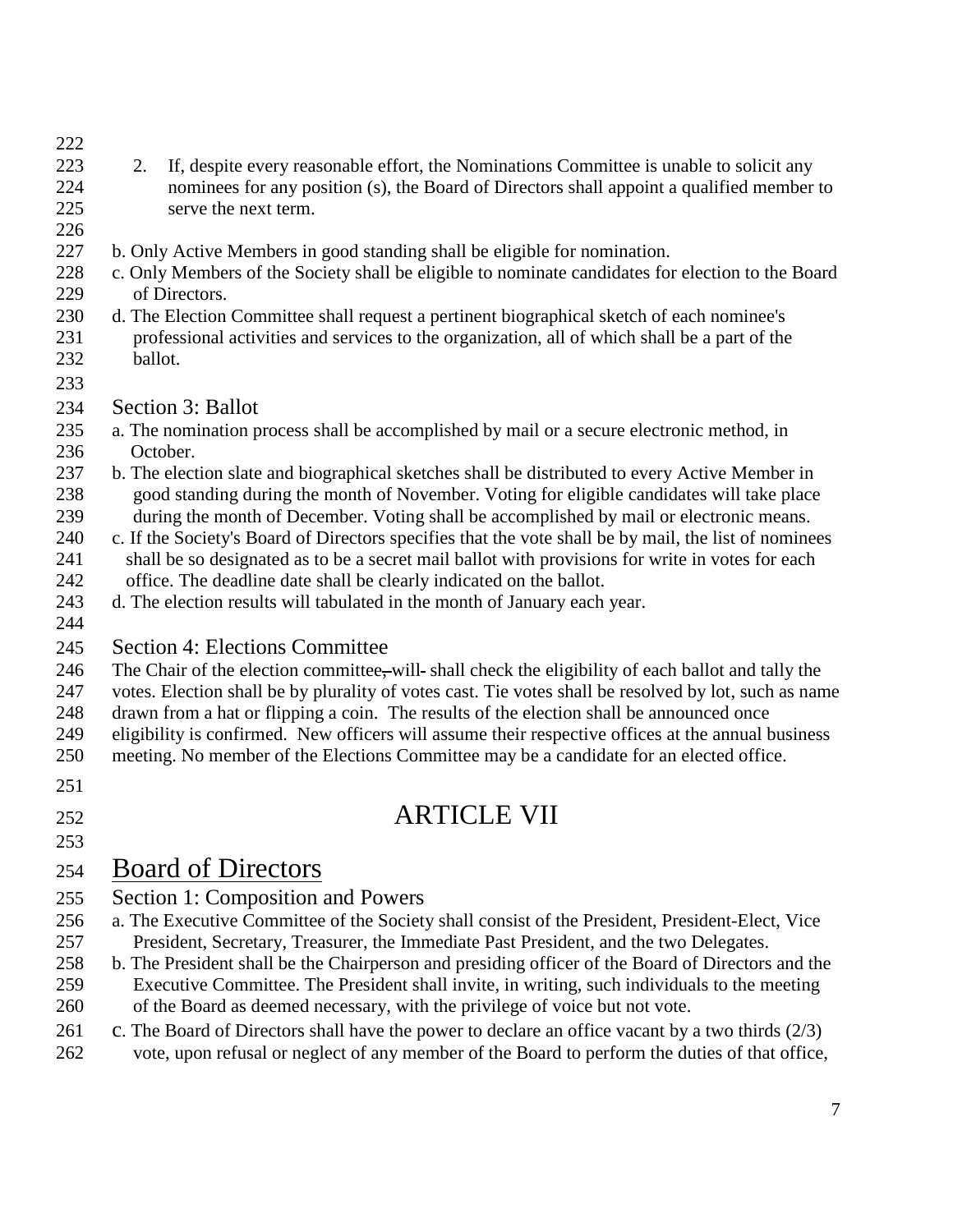- 
- 223 2. If, despite every reasonable effort, the Nominations Committee is unable to solicit any nominees for any position (s), the Board of Directors shall appoint a qualified member to serve the next term.
- 
- b. Only Active Members in good standing shall be eligible for nomination.
- c. Only Members of the Society shall be eligible to nominate candidates for election to the Board of Directors.
- d. The Election Committee shall request a pertinent biographical sketch of each nominee's professional activities and services to the organization, all of which shall be a part of the ballot.
- 
- Section 3: Ballot
- a. The nomination process shall be accomplished by mail or a secure electronic method, in 236 October.
- b. The election slate and biographical sketches shall be distributed to every Active Member in good standing during the month of November. Voting for eligible candidates will take place during the month of December. Voting shall be accomplished by mail or electronic means.
- c. If the Society's Board of Directors specifies that the vote shall be by mail, the list of nominees 241 shall be so designated as to be a secret mail ballot with provisions for write in votes for each 242 office. The deadline date shall be clearly indicated on the ballot.
- d. The election results will tabulated in the month of January each year.
- 
- Section 4: Elections Committee
- 246 The Chair of the election committee, will-shall check the eligibility of each ballot and tally the
- votes. Election shall be by plurality of votes cast. Tie votes shall be resolved by lot, such as name
- drawn from a hat or flipping a coin. The results of the election shall be announced once
- eligibility is confirmed. New officers will assume their respective offices at the annual business
- meeting. No member of the Elections Committee may be a candidate for an elected office.
- 
- ARTICLE VII
- 

## Board of Directors

- Section 1: Composition and Powers
- a. The Executive Committee of the Society shall consist of the President, President-Elect, Vice President, Secretary, Treasurer, the Immediate Past President, and the two Delegates.
- b. The President shall be the Chairperson and presiding officer of the Board of Directors and the Executive Committee. The President shall invite, in writing, such individuals to the meeting of the Board as deemed necessary, with the privilege of voice but not vote.
- 261 c. The Board of Directors shall have the power to declare an office vacant by a two thirds (2/3)
- vote, upon refusal or neglect of any member of the Board to perform the duties of that office,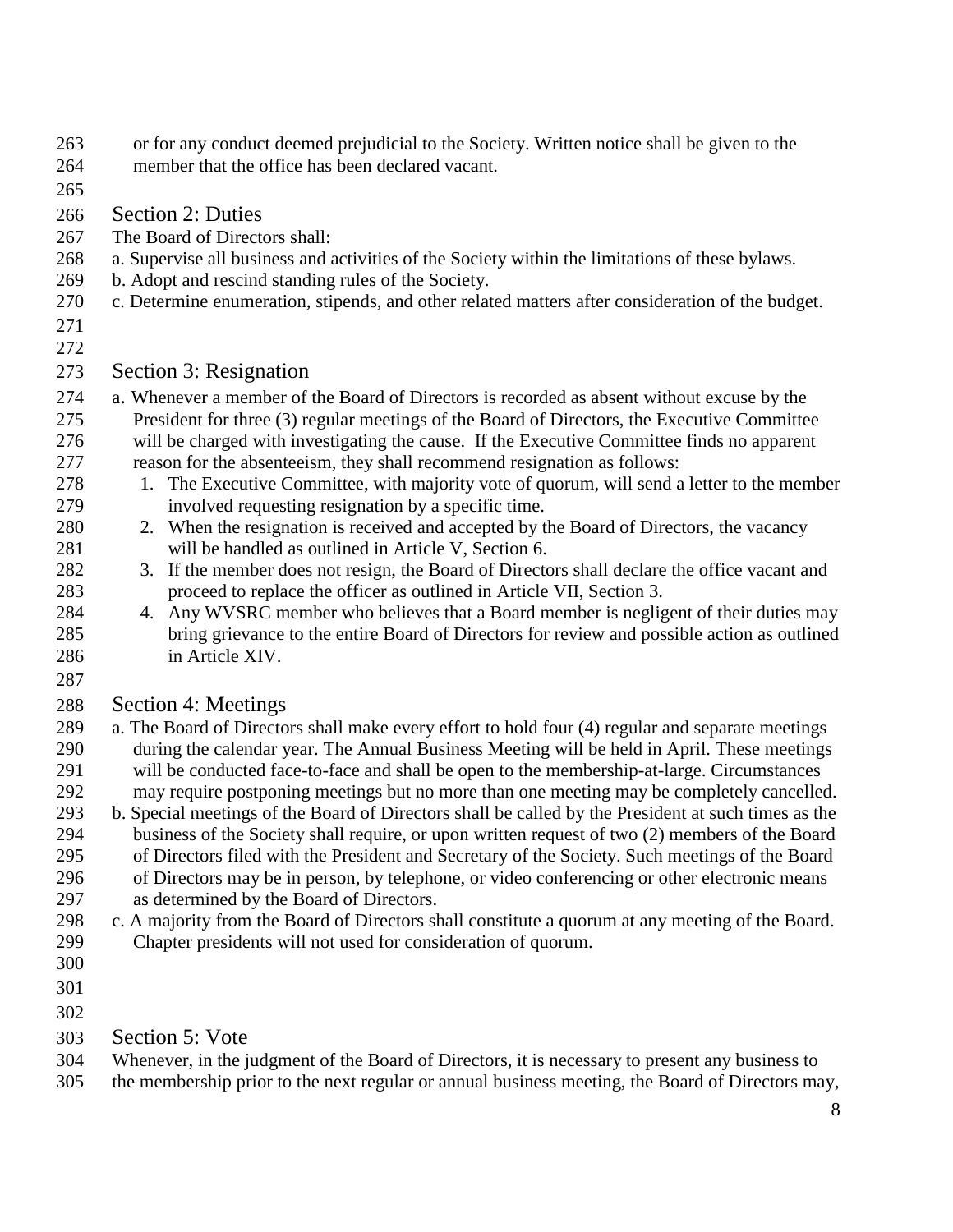- or for any conduct deemed prejudicial to the Society. Written notice shall be given to the
- member that the office has been declared vacant.
- 

Section 2: Duties

- The Board of Directors shall:
- a. Supervise all business and activities of the Society within the limitations of these bylaws.
- b. Adopt and rescind standing rules of the Society.
- c. Determine enumeration, stipends, and other related matters after consideration of the budget.
- 
- 

### Section 3: Resignation

- a. Whenever a member of the Board of Directors is recorded as absent without excuse by the President for three (3) regular meetings of the Board of Directors, the Executive Committee will be charged with investigating the cause. If the Executive Committee finds no apparent reason for the absenteeism, they shall recommend resignation as follows:
- 278 1. The Executive Committee, with majority vote of quorum, will send a letter to the member involved requesting resignation by a specific time.
- 280 2. When the resignation is received and accepted by the Board of Directors, the vacancy will be handled as outlined in Article V, Section 6.
- 3. If the member does not resign, the Board of Directors shall declare the office vacant and proceed to replace the officer as outlined in Article VII, Section 3.
- 4. Any WVSRC member who believes that a Board member is negligent of their duties may bring grievance to the entire Board of Directors for review and possible action as outlined in Article XIV.
- 

### Section 4: Meetings

- a. The Board of Directors shall make every effort to hold four (4) regular and separate meetings during the calendar year. The Annual Business Meeting will be held in April. These meetings will be conducted face-to-face and shall be open to the membership-at-large. Circumstances may require postponing meetings but no more than one meeting may be completely cancelled.
- b. Special meetings of the Board of Directors shall be called by the President at such times as the business of the Society shall require, or upon written request of two (2) members of the Board of Directors filed with the President and Secretary of the Society. Such meetings of the Board of Directors may be in person, by telephone, or video conferencing or other electronic means as determined by the Board of Directors.
- c. A majority from the Board of Directors shall constitute a quorum at any meeting of the Board. Chapter presidents will not used for consideration of quorum.
- 
- 
- 
- Section 5: Vote
- Whenever, in the judgment of the Board of Directors, it is necessary to present any business to
- the membership prior to the next regular or annual business meeting, the Board of Directors may,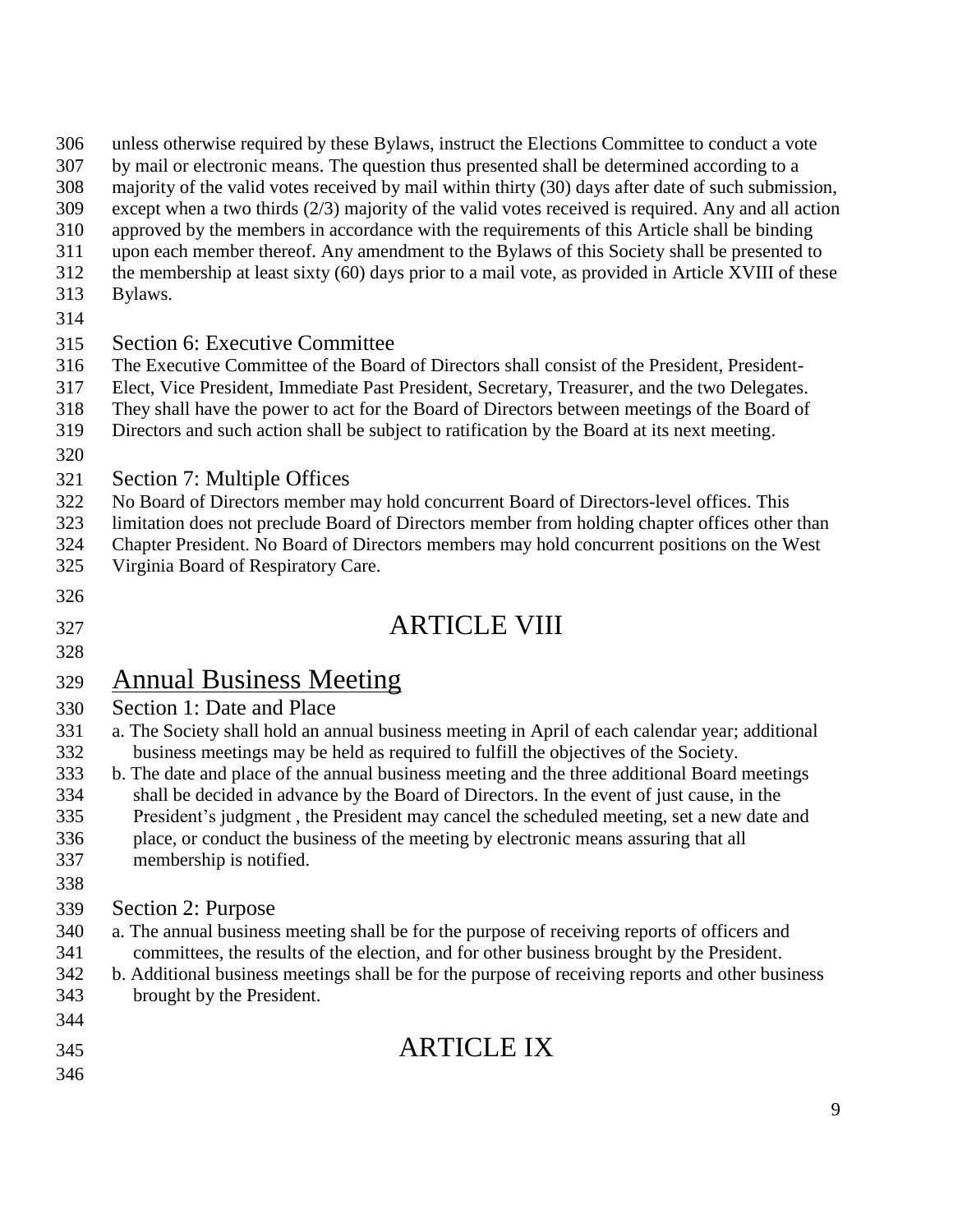| 306 | unless otherwise required by these Bylaws, instruct the Elections Committee to conduct a vote |
|-----|-----------------------------------------------------------------------------------------------|
|-----|-----------------------------------------------------------------------------------------------|

- by mail or electronic means. The question thus presented shall be determined according to a
- majority of the valid votes received by mail within thirty (30) days after date of such submission,
- except when a two thirds (2/3) majority of the valid votes received is required. Any and all action
- approved by the members in accordance with the requirements of this Article shall be binding
- upon each member thereof. Any amendment to the Bylaws of this Society shall be presented to
- the membership at least sixty (60) days prior to a mail vote, as provided in Article XVIII of these
- Bylaws.
- 

### Section 6: Executive Committee

- The Executive Committee of the Board of Directors shall consist of the President, President-
- Elect, Vice President, Immediate Past President, Secretary, Treasurer, and the two Delegates.
- They shall have the power to act for the Board of Directors between meetings of the Board of
- Directors and such action shall be subject to ratification by the Board at its next meeting.
- 
- Section 7: Multiple Offices
- No Board of Directors member may hold concurrent Board of Directors-level offices. This
- limitation does not preclude Board of Directors member from holding chapter offices other than
- Chapter President. No Board of Directors members may hold concurrent positions on the West
- Virginia Board of Respiratory Care.
- 

ARTICLE VIII

## Annual Business Meeting

- Section 1: Date and Place
- a. The Society shall hold an annual business meeting in April of each calendar year; additional business meetings may be held as required to fulfill the objectives of the Society.
- b. The date and place of the annual business meeting and the three additional Board meetings shall be decided in advance by the Board of Directors. In the event of just cause, in the
- President's judgment , the President may cancel the scheduled meeting, set a new date and
- place, or conduct the business of the meeting by electronic means assuring that all
- membership is notified.
- 

### Section 2: Purpose

- a. The annual business meeting shall be for the purpose of receiving reports of officers and committees, the results of the election, and for other business brought by the President.
- b. Additional business meetings shall be for the purpose of receiving reports and other business
- brought by the President.
- 

## ARTICLE IX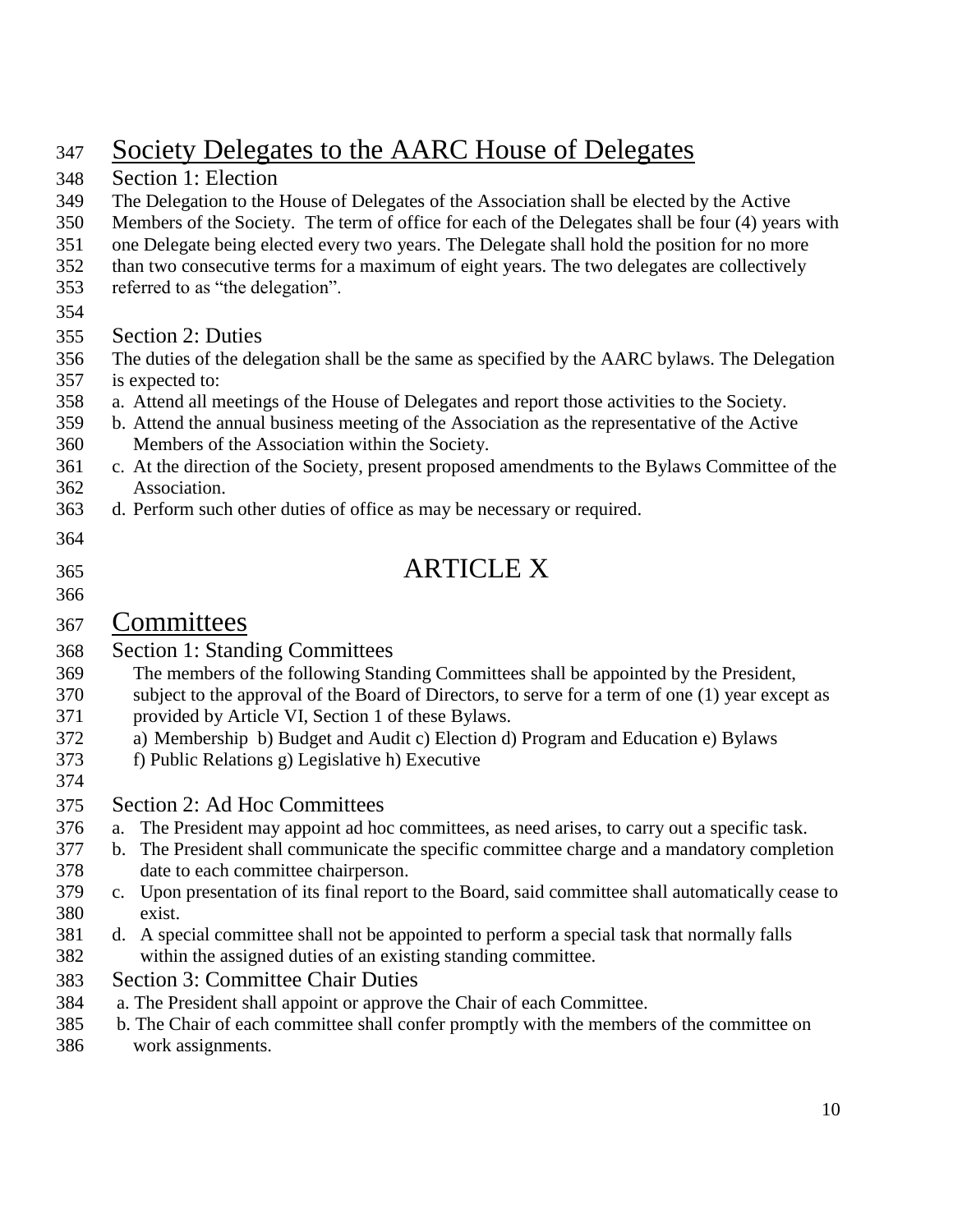## Society Delegates to the AARC House of Delegates

- Section 1: Election The Delegation to the House of Delegates of the Association shall be elected by the Active Members of the Society. The term of office for each of the Delegates shall be four (4) years with one Delegate being elected every two years. The Delegate shall hold the position for no more than two consecutive terms for a maximum of eight years. The two delegates are collectively referred to as "the delegation". Section 2: Duties The duties of the delegation shall be the same as specified by the AARC bylaws. The Delegation is expected to: a. Attend all meetings of the House of Delegates and report those activities to the Society. b. Attend the annual business meeting of the Association as the representative of the Active Members of the Association within the Society. c. At the direction of the Society, present proposed amendments to the Bylaws Committee of the Association. d. Perform such other duties of office as may be necessary or required. ARTICLE X Committees Section 1: Standing Committees The members of the following Standing Committees shall be appointed by the President, subject to the approval of the Board of Directors, to serve for a term of one (1) year except as provided by Article VI, Section 1 of these Bylaws. a) Membership b) Budget and Audit c) Election d) Program and Education e) Bylaws f) Public Relations g) Legislative h) Executive Section 2: Ad Hoc Committees a. The President may appoint ad hoc committees, as need arises, to carry out a specific task. b. The President shall communicate the specific committee charge and a mandatory completion date to each committee chairperson. c. Upon presentation of its final report to the Board, said committee shall automatically cease to exist. d. A special committee shall not be appointed to perform a special task that normally falls within the assigned duties of an existing standing committee. Section 3: Committee Chair Duties a. The President shall appoint or approve the Chair of each Committee. b. The Chair of each committee shall confer promptly with the members of the committee on
- work assignments.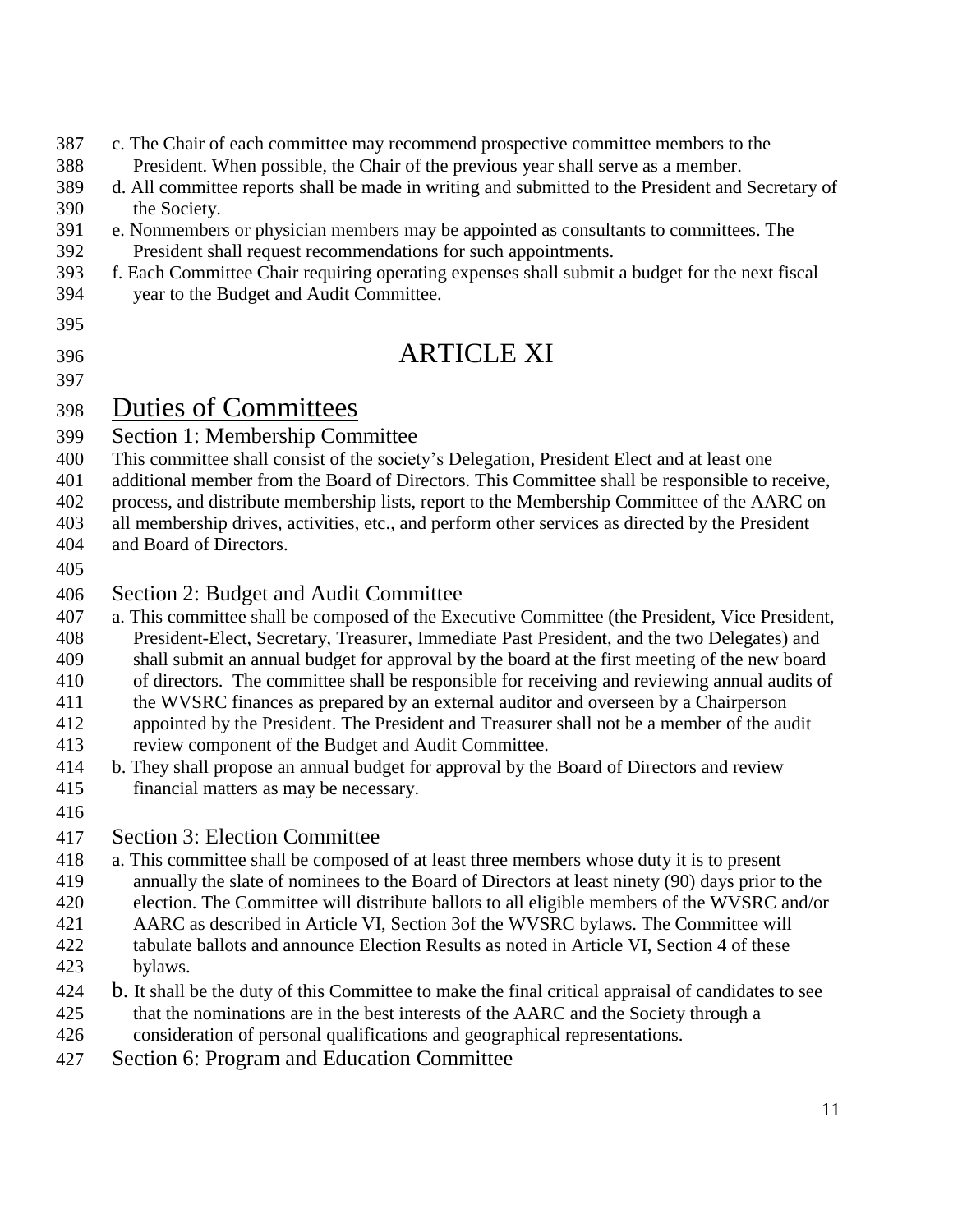## c. The Chair of each committee may recommend prospective committee members to the

- President. When possible, the Chair of the previous year shall serve as a member.
- d. All committee reports shall be made in writing and submitted to the President and Secretary of the Society.
- e. Nonmembers or physician members may be appointed as consultants to committees. The
- President shall request recommendations for such appointments.
- f. Each Committee Chair requiring operating expenses shall submit a budget for the next fiscal year to the Budget and Audit Committee.
- 

## ARTICLE XI

- Duties of Committees
- Section 1: Membership Committee
- This committee shall consist of the society's Delegation, President Elect and at least one
- additional member from the Board of Directors. This Committee shall be responsible to receive,
- process, and distribute membership lists, report to the Membership Committee of the AARC on
- all membership drives, activities, etc., and perform other services as directed by the President
- and Board of Directors.
- 

### Section 2: Budget and Audit Committee

- a. This committee shall be composed of the Executive Committee (the President, Vice President, President-Elect, Secretary, Treasurer, Immediate Past President, and the two Delegates) and
- shall submit an annual budget for approval by the board at the first meeting of the new board
- of directors. The committee shall be responsible for receiving and reviewing annual audits of
- the WVSRC finances as prepared by an external auditor and overseen by a Chairperson
- appointed by the President. The President and Treasurer shall not be a member of the audit review component of the Budget and Audit Committee.
- b. They shall propose an annual budget for approval by the Board of Directors and review
- financial matters as may be necessary.
- 

### Section 3: Election Committee

- a. This committee shall be composed of at least three members whose duty it is to present annually the slate of nominees to the Board of Directors at least ninety (90) days prior to the
- election. The Committee will distribute ballots to all eligible members of the WVSRC and/or
- AARC as described in Article VI, Section 3of the WVSRC bylaws. The Committee will
- tabulate ballots and announce Election Results as noted in Article VI, Section 4 of these bylaws.
- b. It shall be the duty of this Committee to make the final critical appraisal of candidates to see that the nominations are in the best interests of the AARC and the Society through a
- consideration of personal qualifications and geographical representations.
- Section 6: Program and Education Committee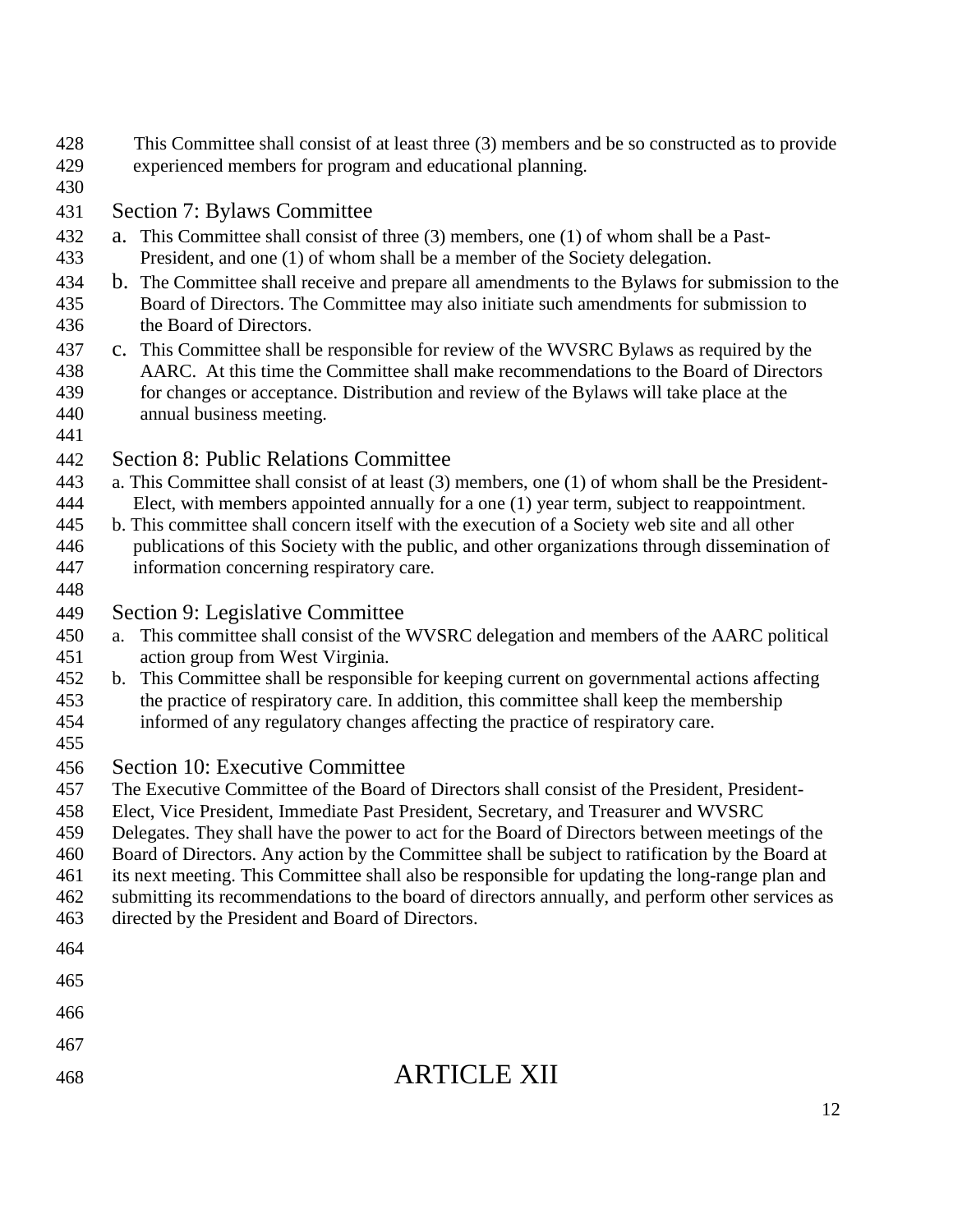- This Committee shall consist of at least three (3) members and be so constructed as to provide experienced members for program and educational planning.
- 

Section 7: Bylaws Committee

- a. This Committee shall consist of three (3) members, one (1) of whom shall be a Past-President, and one (1) of whom shall be a member of the Society delegation.
- b. The Committee shall receive and prepare all amendments to the Bylaws for submission to the Board of Directors. The Committee may also initiate such amendments for submission to the Board of Directors.
- c. This Committee shall be responsible for review of the WVSRC Bylaws as required by the AARC. At this time the Committee shall make recommendations to the Board of Directors for changes or acceptance. Distribution and review of the Bylaws will take place at the annual business meeting.
- 

### Section 8: Public Relations Committee

- a. This Committee shall consist of at least (3) members, one (1) of whom shall be the President-
- Elect, with members appointed annually for a one (1) year term, subject to reappointment.
- b. This committee shall concern itself with the execution of a Society web site and all other publications of this Society with the public, and other organizations through dissemination of information concerning respiratory care.
- Section 9: Legislative Committee
- a. This committee shall consist of the WVSRC delegation and members of the AARC political action group from West Virginia.
- b. This Committee shall be responsible for keeping current on governmental actions affecting the practice of respiratory care. In addition, this committee shall keep the membership informed of any regulatory changes affecting the practice of respiratory care.
- 

### Section 10: Executive Committee

- The Executive Committee of the Board of Directors shall consist of the President, President-
- Elect, Vice President, Immediate Past President, Secretary, and Treasurer and WVSRC
- Delegates. They shall have the power to act for the Board of Directors between meetings of the
- Board of Directors. Any action by the Committee shall be subject to ratification by the Board at
- its next meeting. This Committee shall also be responsible for updating the long-range plan and
- submitting its recommendations to the board of directors annually, and perform other services as
- directed by the President and Board of Directors.
- 
- 
- 
- 
- 

## ARTICLE XII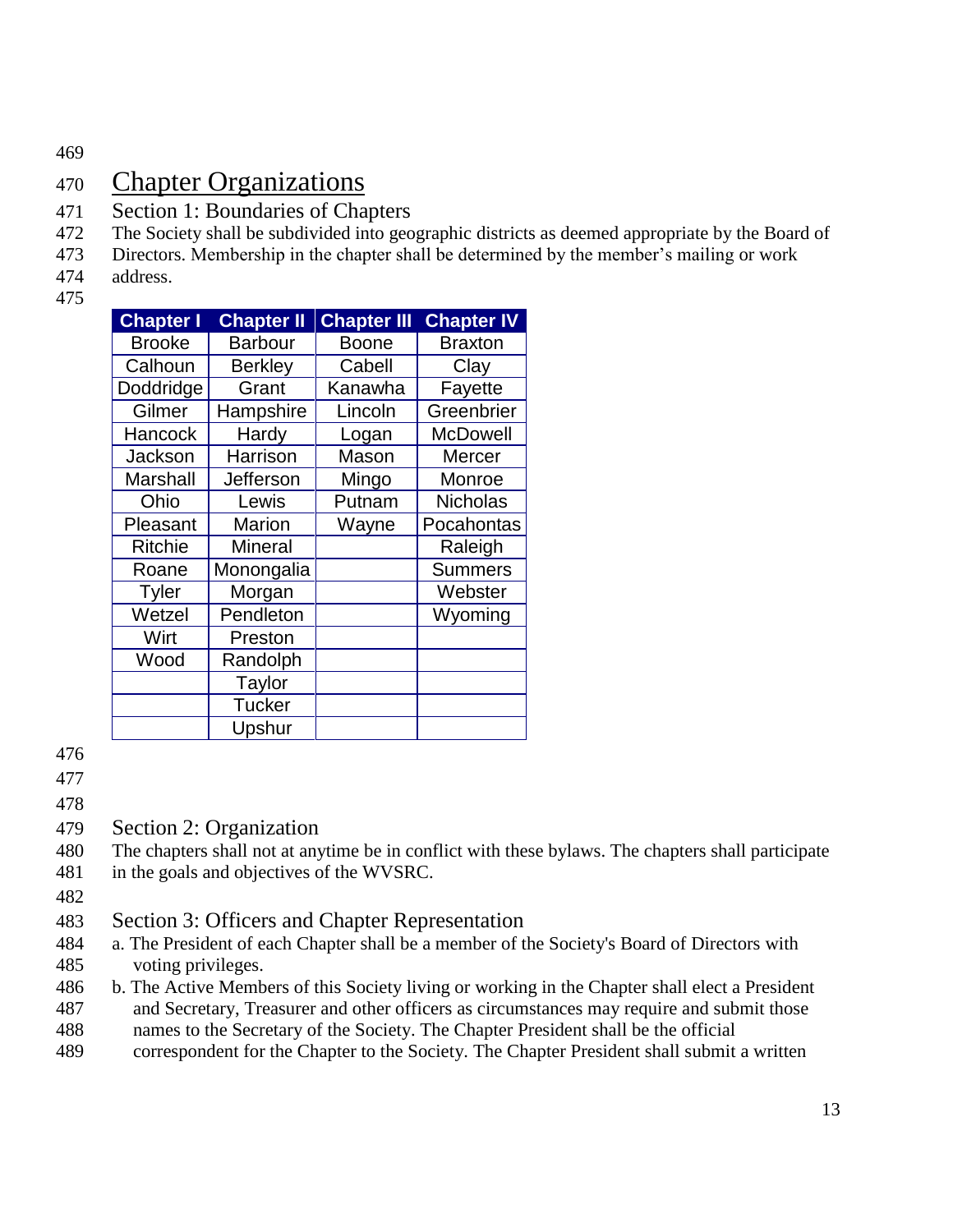469

## 470 Chapter Organizations

- 471 Section 1: Boundaries of Chapters
- 472 The Society shall be subdivided into geographic districts as deemed appropriate by the Board of
- 473 Directors. Membership in the chapter shall be determined by the member's mailing or work
- 474 address.
- 475

| <b>Chapter I</b> | <b>Chapter II</b> | <b>Chapter III</b> | <b>Chapter IV</b> |
|------------------|-------------------|--------------------|-------------------|
| <b>Brooke</b>    | <b>Barbour</b>    | <b>Boone</b>       | <b>Braxton</b>    |
| Calhoun          | <b>Berkley</b>    | Cabell             | Clay              |
| Doddridge        | Grant             | Kanawha            | Fayette           |
| Gilmer           | Hampshire         | Lincoln            | Greenbrier        |
| Hancock          | Hardy             | Logan              | <b>McDowell</b>   |
| Jackson          | Harrison          | Mason              | Mercer            |
| Marshall         | Jefferson         | Mingo              | Monroe            |
| Ohio             | Lewis             | Putnam             | <b>Nicholas</b>   |
| Pleasant         | <b>Marion</b>     | Wayne              | Pocahontas        |
| <b>Ritchie</b>   | <b>Mineral</b>    |                    | Raleigh           |
| Roane            | Monongalia        |                    | <b>Summers</b>    |
| <b>Tyler</b>     | Morgan            |                    | Webster           |
| Wetzel           | Pendleton         |                    | Wyoming           |
| Wirt             | Preston           |                    |                   |
| Wood             | Randolph          |                    |                   |
|                  | Taylor            |                    |                   |
|                  | <b>Tucker</b>     |                    |                   |
|                  | Upshur            |                    |                   |

476

477

478

- 479 Section 2: Organization
- 480 The chapters shall not at anytime be in conflict with these bylaws. The chapters shall participate
- 481 in the goals and objectives of the WVSRC.
- 482
- 483 Section 3: Officers and Chapter Representation
- 484 a. The President of each Chapter shall be a member of the Society's Board of Directors with 485 voting privileges.
- 486 b. The Active Members of this Society living or working in the Chapter shall elect a President 487 and Secretary, Treasurer and other officers as circumstances may require and submit those
- 488 names to the Secretary of the Society. The Chapter President shall be the official
- 489 correspondent for the Chapter to the Society. The Chapter President shall submit a written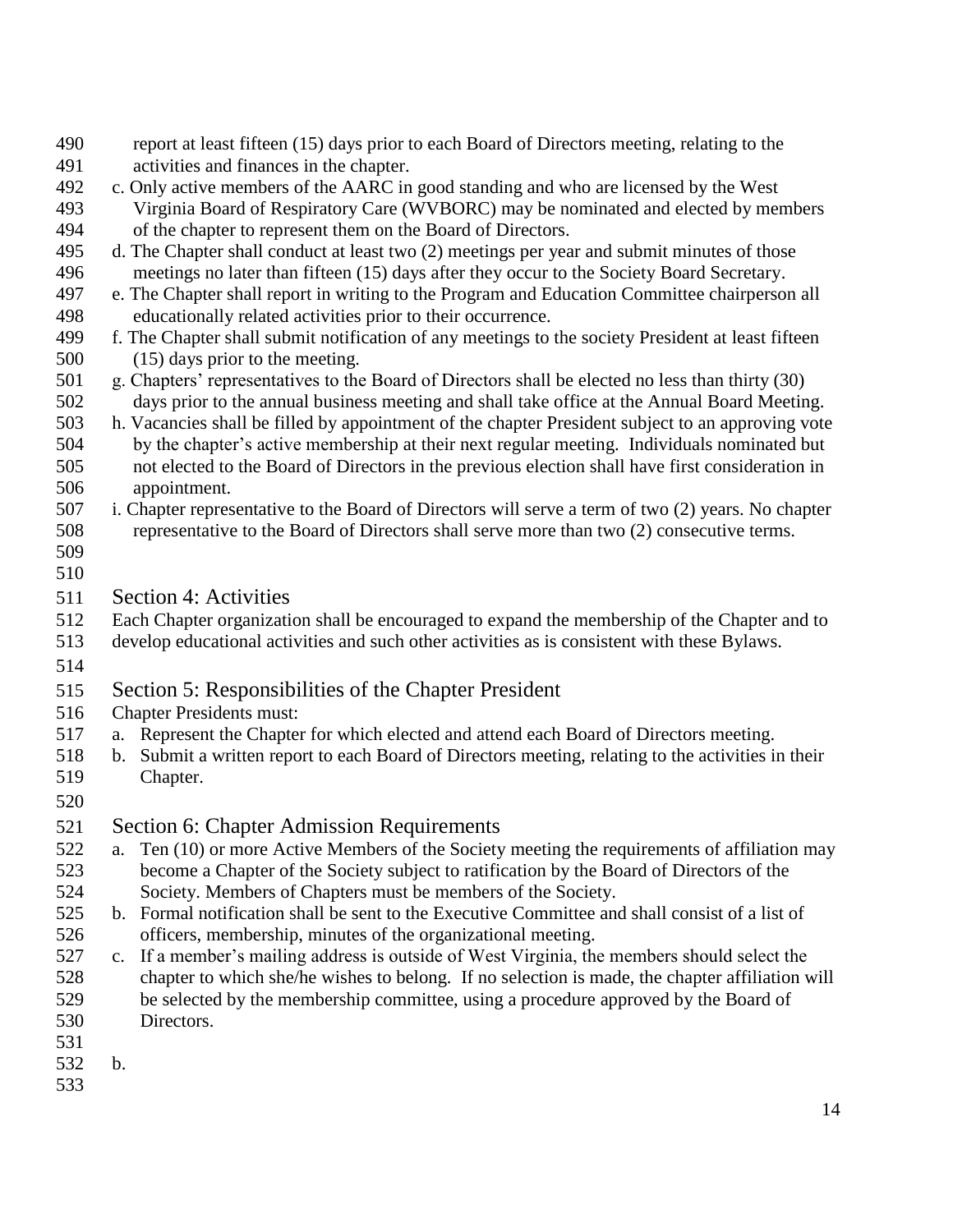- report at least fifteen (15) days prior to each Board of Directors meeting, relating to the activities and finances in the chapter.
- c. Only active members of the AARC in good standing and who are licensed by the West Virginia Board of Respiratory Care (WVBORC) may be nominated and elected by members of the chapter to represent them on the Board of Directors.
- d. The Chapter shall conduct at least two (2) meetings per year and submit minutes of those meetings no later than fifteen (15) days after they occur to the Society Board Secretary.
- e. The Chapter shall report in writing to the Program and Education Committee chairperson all educationally related activities prior to their occurrence.
- f. The Chapter shall submit notification of any meetings to the society President at least fifteen (15) days prior to the meeting.
- g. Chapters' representatives to the Board of Directors shall be elected no less than thirty (30) days prior to the annual business meeting and shall take office at the Annual Board Meeting.
- h. Vacancies shall be filled by appointment of the chapter President subject to an approving vote by the chapter's active membership at their next regular meeting. Individuals nominated but not elected to the Board of Directors in the previous election shall have first consideration in appointment.
- i. Chapter representative to the Board of Directors will serve a term of two (2) years. No chapter representative to the Board of Directors shall serve more than two (2) consecutive terms.
- 
- Section 4: Activities
- Each Chapter organization shall be encouraged to expand the membership of the Chapter and to
- develop educational activities and such other activities as is consistent with these Bylaws.
- 

### Section 5: Responsibilities of the Chapter President

- Chapter Presidents must:
- a. Represent the Chapter for which elected and attend each Board of Directors meeting.
- b. Submit a written report to each Board of Directors meeting, relating to the activities in their Chapter.
- 
- Section 6: Chapter Admission Requirements
- a. Ten (10) or more Active Members of the Society meeting the requirements of affiliation may become a Chapter of the Society subject to ratification by the Board of Directors of the Society. Members of Chapters must be members of the Society.
- b. Formal notification shall be sent to the Executive Committee and shall consist of a list of officers, membership, minutes of the organizational meeting.
- c. If a member's mailing address is outside of West Virginia, the members should select the chapter to which she/he wishes to belong. If no selection is made, the chapter affiliation will be selected by the membership committee, using a procedure approved by the Board of Directors.
- 
- b.
-